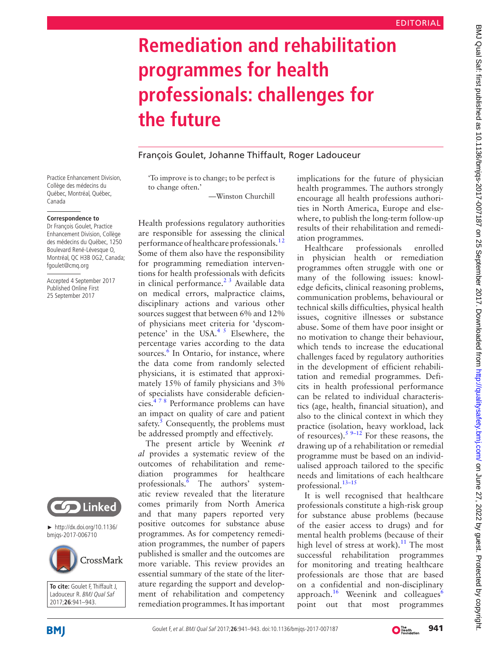# **Remediation and rehabilitation programmes for health professionals: challenges for the future**

## François Goulet, Johanne Thiffault, Roger Ladouceur

Practice Enhancement Division, Collège des médecins du Québec, Montréal, Québec, Canada

#### **Correspondence to**

Dr François Goulet, Practice Enhancement Division, Collège des médecins du Québec, 1250 Boulevard René-Lévesque O, Montréal, QC H3B 0G2, Canada; fgoulet@cmq.org

Accepted 4 September 2017 Published Online First 25 September 2017



► [http://dx.doi.org/10.1136/](http://dx.doi.org/10.1136/bmjqs-2017-006710) [bmjqs-2017-006710](http://dx.doi.org/10.1136/bmjqs-2017-006710)



**To cite:** Goulet F, Thiffault J, Ladouceur R. BMJ Qual Saf 2017;**26**:941–943.

'To improve is to change; to be perfect is to change often.'

—Winston Churchill

Health professions regulatory authorities are responsible for assessing the clinical performance of healthcare professionals.<sup>12</sup> Some of them also have the responsibility for programming remediation interventions for health professionals with deficits in clinical performance. $2<sup>3</sup>$  Available data on medical errors, malpractice claims, disciplinary actions and various other sources suggest that between 6% and 12% of physicians meet criteria for 'dyscompetence' in the USA. $45$  Elsewhere, the percentage varies according to the data sources.<sup>[6](#page-1-3)</sup> In Ontario, for instance, where the data come from randomly selected physicians, it is estimated that approximately 15% of family physicians and 3% of specialists have considerable deficiencies[.4 7 8](#page-1-2) Performance problems can have an impact on quality of care and patient safety. $5$  Consequently, the problems must be addressed promptly and effectively.

The present article by Weenink *et al* provides a systematic review of the outcomes of rehabilitation and remediation programmes for healthcare professionals.<sup>[6](#page-1-3)</sup> The authors' systematic review revealed that the literature comes primarily from North America and that many papers reported very positive outcomes for substance abuse programmes. As for competency remediation programmes, the number of papers published is smaller and the outcomes are more variable. This review provides an essential summary of the state of the literature regarding the support and development of rehabilitation and competency remediation programmes. It has important

implications for the future of physician health programmes. The authors strongly encourage all health professions authorities in North America, Europe and elsewhere, to publish the long-term follow-up results of their rehabilitation and remediation programmes.

Healthcare professionals enrolled in physician health or remediation programmes often struggle with one or many of the following issues: knowledge deficits, clinical reasoning problems, communication problems, behavioural or technical skills difficulties, physical health issues, cognitive illnesses or substance abuse. Some of them have poor insight or no motivation to change their behaviour, which tends to increase the educational challenges faced by regulatory authorities in the development of efficient rehabilitation and remedial programmes. Deficits in health professional performance can be related to individual characteristics (age, health, financial situation), and also to the clinical context in which they practice (isolation, heavy workload, lack of resources).<sup>[5 9–12](#page-1-4)</sup> For these reasons, the drawing up of a rehabilitation or remedial programme must be based on an individualised approach tailored to the specific needs and limitations of each healthcare professional.<sup>13-15</sup>

It is well recognised that healthcare professionals constitute a high-risk group for substance abuse problems (because of the easier access to drugs) and for mental health problems (because of their high level of stress at work).<sup>[11](#page-1-6)</sup> The most successful rehabilitation programmes for monitoring and treating healthcare professionals are those that are based on a confidential and non-disciplinary approach. $16$  Weenink and colleagues<sup>[6](#page-1-3)</sup> point out that most programmes



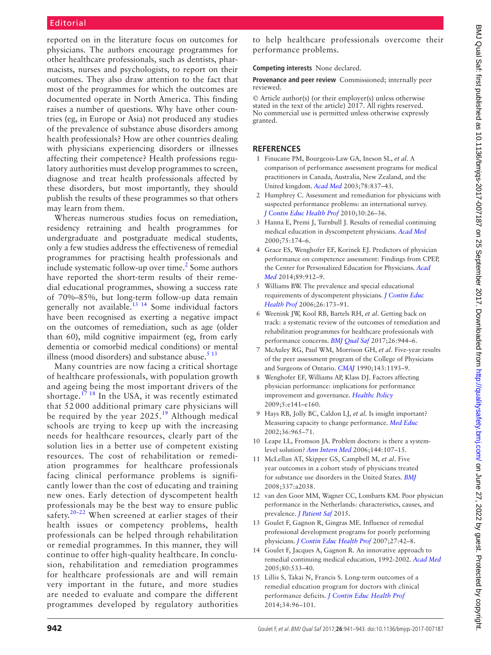## Editorial

reported on in the literature focus on outcomes for physicians. The authors encourage programmes for other healthcare professionals, such as dentists, pharmacists, nurses and psychologists, to report on their outcomes. They also draw attention to the fact that most of the programmes for which the outcomes are documented operate in North America. This finding raises a number of questions. Why have other countries (eg, in Europe or Asia) not produced any studies of the prevalence of substance abuse disorders among health professionals? How are other countries dealing with physicians experiencing disorders or illnesses affecting their competence? Health professions regulatory authorities must develop programmes to screen, diagnose and treat health professionals affected by these disorders, but most importantly, they should publish the results of these programmes so that others may learn from them.

Whereas numerous studies focus on remediation, residency retraining and health programmes for undergraduate and postgraduate medical students, only a few studies address the effectiveness of remedial programmes for practising health professionals and include systematic follow-up over time.<sup>2</sup> Some authors have reported the short-term results of their remedial educational programmes, showing a success rate of 70%–85%, but long-term follow-up data remain generally not available.<sup>13 14</sup> Some individual factors have been recognised as exerting a negative impact on the outcomes of remediation, such as age (older than 60), mild cognitive impairment (eg, from early dementia or comorbid medical conditions) or mental illness (mood disorders) and substance abuse. $513$ 

Many countries are now facing a critical shortage of healthcare professionals, with population growth and ageing being the most important drivers of the shortage.<sup>[17 18](#page-2-1)</sup> In the USA, it was recently estimated that 52 000 additional primary care physicians will be required by the year  $2025<sup>19</sup>$  $2025<sup>19</sup>$  $2025<sup>19</sup>$  Although medical schools are trying to keep up with the increasing needs for healthcare resources, clearly part of the solution lies in a better use of competent existing resources. The cost of rehabilitation or remediation programmes for healthcare professionals facing clinical performance problems is significantly lower than the cost of educating and training new ones. Early detection of dyscompetent health professionals may be the best way to ensure public safety.<sup>20–22</sup> When screened at earlier stages of their health issues or competency problems, health professionals can be helped through rehabilitation or remedial programmes. In this manner, they will continue to offer high-quality healthcare. In conclusion, rehabilitation and remediation programmes for healthcare professionals are and will remain very important in the future, and more studies are needed to evaluate and compare the different programmes developed by regulatory authorities

to help healthcare professionals overcome their performance problems.

**Competing interests** None declared.

**Provenance and peer review** Commissioned; internally peer reviewed.

© Article author(s) (or their employer(s) unless otherwise stated in the text of the article) 2017. All rights reserved. No commercial use is permitted unless otherwise expressly granted.

#### **References**

- <span id="page-1-0"></span>1 Finucane PM, Bourgeois-Law GA, Ineson SL, *et al*. A comparison of performance assessment programs for medical practitioners in Canada, Australia, New Zealand, and the United kingdom. *[Acad Med](http://dx.doi.org/10.1097/00001888-200308000-00020)* 2003;78:837–43.
- <span id="page-1-1"></span>2 Humphrey C. Assessment and remediation for physicians with suspected performance problems: an international survey. *[J Contin Educ Health Prof](http://dx.doi.org/10.1002/chp.20053)* 2010;30:26–36.
- 3 Hanna E, Premi J, Turnbull J. Results of remedial continuing medical education in dyscompetent physicians. *[Acad Med](http://dx.doi.org/10.1097/00001888-200002000-00017)* 2000;75:174–6.
- <span id="page-1-2"></span>4 Grace ES, Wenghofer EF, Korinek EJ. Predictors of physician performance on competence assessment: Findings from CPEP, the Center for Personalized Education for Physicians. *[Acad](http://dx.doi.org/10.1097/ACM.0000000000000248)  [Med](http://dx.doi.org/10.1097/ACM.0000000000000248)* 2014;89:912–9.
- <span id="page-1-4"></span>5 Williams BW. The prevalence and special educational requirements of dyscompetent physicians. *[J Contin Educ](http://dx.doi.org/10.1002/chp.68)  [Health Prof](http://dx.doi.org/10.1002/chp.68)* 2006;26:173–91.
- <span id="page-1-3"></span>6 Weenink JW, Kool RB, Bartels RH, *et al*. Getting back on track: a systematic review of the outcomes of remediation and rehabilitation programmes for healthcare professionals with performance concerns. *[BMJ Qual Saf](http://dx.doi.org/10.1136/bmjqs-2017-006710)* 2017;26:944–6.
- 7 McAuley RG, Paul WM, Morrison GH, *et al*. Five-year results of the peer assessment program of the College of Physicians and Surgeons of Ontario. *CMAJ* 1990;143:1193–9.
- 8 Wenghofer EF, Williams AP, Klass DJ. Factors affecting physician performance: implications for performance improvement and governance. *[Healthc Policy](http://dx.doi.org/10.12927/hcpol.2013.21178)* 2009;5:e141–e160.
- 9 Hays RB, Jolly BC, Caldon LJ, *et al*. Is insight important? Measuring capacity to change performance. *[Med Educ](http://dx.doi.org/10.1046/j.1365-2923.2002.01317.x)* 2002;36:965–71.
- 10 Leape LL, Fromson JA. Problem doctors: is there a systemlevel solution? *[Ann Intern Med](http://dx.doi.org/10.7326/0003-4819-144-2-200601170-00008)* 2006;144:107–15.
- <span id="page-1-6"></span>11 McLellan AT, Skipper GS, Campbell M, *et al*. Five year outcomes in a cohort study of physicians treated for substance use disorders in the United States. *[BMJ](http://dx.doi.org/10.1136/bmj.a2038)* 2008;337:a2038.
- 12 van den Goor MM, Wagner CC, Lombarts KM. Poor physician performance in the Netherlands: characteristics, causes, and prevalence. *[J Patient Saf](http://dx.doi.org/10.1097/PTS.0000000000000222)* 2015.
- <span id="page-1-5"></span>13 Goulet F, Gagnon R, Gingras ME. Influence of remedial professional development programs for poorly performing physicians. *[J Contin Educ Health Prof](http://dx.doi.org/10.1002/chp.93)* 2007;27:42–8.
- 14 Goulet F, Jacques A, Gagnon R. An innovative approach to remedial continuing medical education, 1992-2002. *[Acad Med](http://dx.doi.org/10.1097/00001888-200506000-00004)* 2005;80:533–40.
- 15 Lillis S, Takai N, Francis S. Long-term outcomes of a remedial education program for doctors with clinical performance deficits. *[J Contin Educ Health Prof](http://dx.doi.org/10.1002/chp.21227)* 2014;34:96–101.